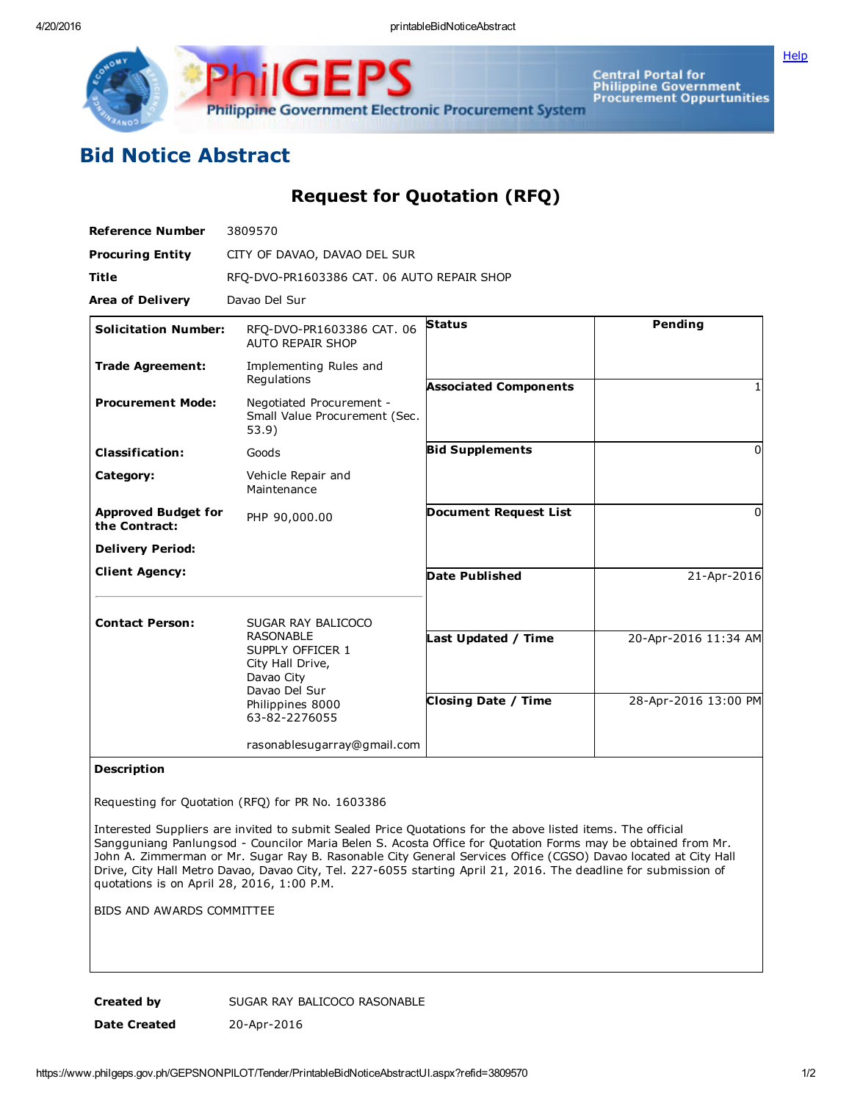

Philippine Government Electronic Procurement System

Central Portal for<br>Philippine Government<br>Procurement Oppurtunities

## Bid Notice Abstract

## Request for Quotation (RFQ)

| <b>Reference Number</b>                     | 3809570                                                                                 |                              |                      |
|---------------------------------------------|-----------------------------------------------------------------------------------------|------------------------------|----------------------|
| <b>Procuring Entity</b>                     | CITY OF DAVAO, DAVAO DEL SUR                                                            |                              |                      |
| <b>Title</b>                                | RFQ-DVO-PR1603386 CAT. 06 AUTO REPAIR SHOP                                              |                              |                      |
| <b>Area of Delivery</b>                     | Davao Del Sur                                                                           |                              |                      |
| <b>Solicitation Number:</b>                 | RFQ-DVO-PR1603386 CAT. 06<br><b>AUTO REPAIR SHOP</b>                                    | <b>Status</b>                | Pending              |
| <b>Trade Agreement:</b>                     | Implementing Rules and<br>Regulations                                                   | <b>Associated Components</b> |                      |
| <b>Procurement Mode:</b>                    | Negotiated Procurement -<br>Small Value Procurement (Sec.<br>53.9)                      |                              |                      |
| <b>Classification:</b>                      | Goods                                                                                   | <b>Bid Supplements</b>       | $\Omega$             |
| Category:                                   | Vehicle Repair and<br>Maintenance                                                       |                              |                      |
| <b>Approved Budget for</b><br>the Contract: | PHP 90,000.00                                                                           | <b>Document Request List</b> | $\Omega$             |
| <b>Delivery Period:</b>                     |                                                                                         |                              |                      |
| <b>Client Agency:</b>                       |                                                                                         | <b>Date Published</b>        | 21-Apr-2016          |
| <b>Contact Person:</b>                      | SUGAR RAY BALICOCO                                                                      |                              |                      |
|                                             | <b>RASONABLE</b><br>SUPPLY OFFICER 1<br>City Hall Drive,<br>Davao City<br>Davao Del Sur | Last Updated / Time          | 20-Apr-2016 11:34 AM |
|                                             | Philippines 8000<br>63-82-2276055                                                       | <b>Closing Date / Time</b>   | 28-Apr-2016 13:00 PM |
|                                             | rasonablesugarray@gmail.com                                                             |                              |                      |

## Description

Requesting for Quotation (RFQ) for PR No. 1603386

Interested Suppliers are invited to submit Sealed Price Quotations for the above listed items. The official Sangguniang Panlungsod - Councilor Maria Belen S. Acosta Office for Quotation Forms may be obtained from Mr. John A. Zimmerman or Mr. Sugar Ray B. Rasonable City General Services Office (CGSO) Davao located at City Hall Drive, City Hall Metro Davao, Davao City, Tel. 227-6055 starting April 21, 2016. The deadline for submission of quotations is on April 28, 2016, 1:00 P.M.

BIDS AND AWARDS COMMITTEE

Created by SUGAR RAY BALICOCO RASONABLE Date Created 20-Apr-2016